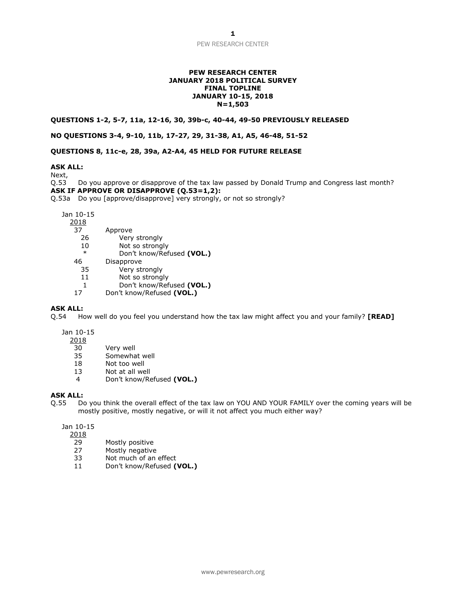PEW RESEARCH CENTER

#### **PEW RESEARCH CENTER JANUARY 2018 POLITICAL SURVEY FINAL TOPLINE JANUARY 10-15, 2018 N=1,503**

#### **QUESTIONS 1-2, 5-7, 11a, 12-16, 30, 39b-c, 40-44, 49-50 PREVIOUSLY RELEASED**

### **NO QUESTIONS 3-4, 9-10, 11b, 17-27, 29, 31-38, A1, A5, 46-48, 51-52**

## **QUESTIONS 8, 11c-e, 28, 39a, A2-A4, 45 HELD FOR FUTURE RELEASE**

# **ASK ALL:**

Next,

Q.53 Do you approve or disapprove of the tax law passed by Donald Trump and Congress last month? **ASK IF APPROVE OR DISAPPROVE (Q.53=1,2):**

Q.53a Do you [approve/disapprove] very strongly, or not so strongly?

Jan 10-15

| 201 | $\circ$<br>. . |  |
|-----|----------------|--|
|     |                |  |

| 37 | Approve |
|----|---------|
|    |         |

- 26 Very strongly
- 10 Not so strongly
- \* Don't know/Refused **(VOL.)**
- 46 Disapprove
	- 35 Very strongly
	- 11 Not so strongly
- 1 Don't know/Refused **(VOL.)**<br>17 Don't know/Refused **(VOL.)**
- 17 Don't know/Refused **(VOL.)**

## **ASK ALL:**

Q.54 How well do you feel you understand how the tax law might affect you and your family? **[READ]**

Jan 10-15

2018

- 30 Very well
- 35 Somewhat well
- 18 Not too well
- 13 Not at all well
- 4 Don't know/Refused **(VOL.)**

# **ASK ALL:**

Q.55 Do you think the overall effect of the tax law on YOU AND YOUR FAMILY over the coming years will be mostly positive, mostly negative, or will it not affect you much either way?

Jan 10-15

2018

- 29 Mostly positive
- 27 Mostly negative
- 33 Not much of an effect
- 11 Don't know/Refused **(VOL.)**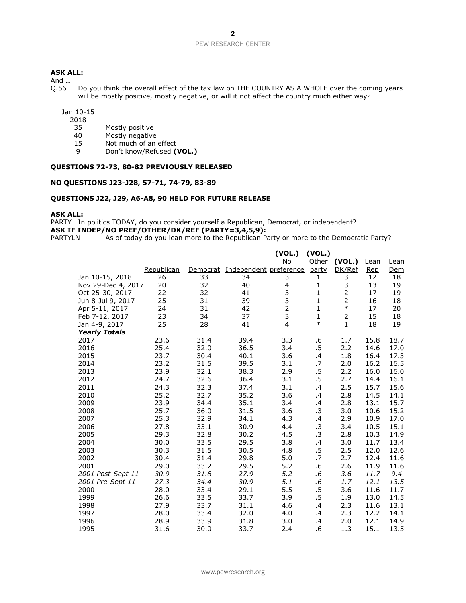## **ASK ALL:**

And  $\dots$ <br>Q.56

Do you think the overall effect of the tax law on THE COUNTRY AS A WHOLE over the coming years will be mostly positive, mostly negative, or will it not affect the country much either way?

Jan 10-15

- $\frac{2018}{35}$
- Mostly positive
- 40 Mostly negative
- 15 Not much of an effect<br>9 Don't know/Refused (1)
- 9 Don't know/Refused **(VOL.)**

# **QUESTIONS 72-73, 80-82 PREVIOUSLY RELEASED**

#### **NO QUESTIONS J23-J28, 57-71, 74-79, 83-89**

## **QUESTIONS J22, J29, A6-A8, 90 HELD FOR FUTURE RELEASE**

#### **ASK ALL:**

PARTY In politics TODAY, do you consider yourself a Republican, Democrat, or independent? **ASK IF INDEP/NO PREF/OTHER/DK/REF (PARTY=3,4,5,9):**<br>PARTYLN As of today do you lean more to the Republican Pa

As of today do you lean more to the Republican Party or more to the Democratic Party?

|                      |            |          |                        | (VOL.)         | (VOL.)       |                |            |            |
|----------------------|------------|----------|------------------------|----------------|--------------|----------------|------------|------------|
|                      |            |          |                        | No             | Other        | (VOL.)         | Lean       | Lean       |
|                      | Republican | Democrat | Independent preference |                | <u>party</u> | DK/Ref         | <u>Rep</u> | <u>Dem</u> |
| Jan 10-15, 2018      | 26         | 33       | 34                     | 3              | 1            | 3              | 12         | 18         |
| Nov 29-Dec 4, 2017   | 20         | 32       | 40                     | 4              | 1            | 3              | 13         | 19         |
| Oct 25-30, 2017      | 22         | 32       | 41                     | $\frac{3}{3}$  | $\mathbf{1}$ | $\overline{2}$ | 17         | 19         |
| Jun 8-Jul 9, 2017    | 25         | 31       | 39                     |                | $\mathbf{1}$ | 2              | 16         | 18         |
| Apr 5-11, 2017       | 24         | 31       | 42                     | $\overline{2}$ | $\mathbf{1}$ | $\ast$         | 17         | 20         |
| Feb 7-12, 2017       | 23         | 34       | 37                     | 3              | $\mathbf{1}$ | $\overline{2}$ | 15         | 18         |
| Jan 4-9, 2017        | 25         | 28       | 41                     | $\overline{4}$ | $\ast$       | $\mathbf{1}$   | 18         | 19         |
| <b>Yearly Totals</b> |            |          |                        |                |              |                |            |            |
| 2017                 | 23.6       | 31.4     | 39.4                   | 3.3            | .6           | 1.7            | 15.8       | 18.7       |
| 2016                 | 25.4       | 32.0     | 36.5                   | 3.4            | .5           | 2.2            | 14.6       | 17.0       |
| 2015                 | 23.7       | 30.4     | 40.1                   | 3.6            | .4           | 1.8            | 16.4       | 17.3       |
| 2014                 | 23.2       | 31.5     | 39.5                   | 3.1            | .7           | 2.0            | 16.2       | 16.5       |
| 2013                 | 23.9       | 32.1     | 38.3                   | 2.9            | .5           | 2.2            | 16.0       | 16.0       |
| 2012                 | 24.7       | 32.6     | 36.4                   | 3.1            | .5           | 2.7            | 14.4       | 16.1       |
| 2011                 | 24.3       | 32.3     | 37.4                   | 3.1            | .4           | 2.5            | 15.7       | 15.6       |
| 2010                 | 25.2       | 32.7     | 35.2                   | 3.6            | .4           | 2.8            | 14.5       | 14.1       |
| 2009                 | 23.9       | 34.4     | 35.1                   | 3.4            | .4           | 2.8            | 13.1       | 15.7       |
| 2008                 | 25.7       | 36.0     | 31.5                   | 3.6            | .3           | 3.0            | 10.6       | 15.2       |
| 2007                 | 25.3       | 32.9     | 34.1                   | 4.3            | .4           | 2.9            | 10.9       | 17.0       |
| 2006                 | 27.8       | 33.1     | 30.9                   | 4.4            | .3           | 3.4            | 10.5       | 15.1       |
| 2005                 | 29.3       | 32.8     | 30.2                   | 4.5            | .3           | 2.8            | 10.3       | 14.9       |
| 2004                 | 30.0       | 33.5     | 29.5                   | 3.8            | .4           | 3.0            | 11.7       | 13.4       |
| 2003                 | 30.3       | 31.5     | 30.5                   | 4.8            | $.5\,$       | 2.5            | 12.0       | 12.6       |
| 2002                 | 30.4       | 31.4     | 29.8                   | 5.0            | .7           | 2.7            | 12.4       | 11.6       |
| 2001                 | 29.0       | 33.2     | 29.5                   | 5.2            | .6           | 2.6            | 11.9       | 11.6       |
| 2001 Post-Sept 11    | 30.9       | 31.8     | 27.9                   | 5.2            | .6           | 3.6            | 11.7       | 9.4        |
| 2001 Pre-Sept 11     | 27.3       | 34.4     | 30.9                   | 5.1            | .6           | 1.7            | 12.1       | 13.5       |
| 2000                 | 28.0       | 33.4     | 29.1                   | 5.5            | .5           | 3.6            | 11.6       | 11.7       |
| 1999                 | 26.6       | 33.5     | 33.7                   | 3.9            | .5           | 1.9            | 13.0       | 14.5       |
| 1998                 | 27.9       | 33.7     | 31.1                   | 4.6            | .4           | 2.3            | 11.6       | 13.1       |
| 1997                 | 28.0       | 33.4     | 32.0                   | 4.0            | .4           | 2.3            | 12.2       | 14.1       |
| 1996                 | 28.9       | 33.9     | 31.8                   | 3.0            | .4           | 2.0            | 12.1       | 14.9       |
| 1995                 | 31.6       | 30.0     | 33.7                   | 2.4            | .6           | 1.3            | 15.1       | 13.5       |